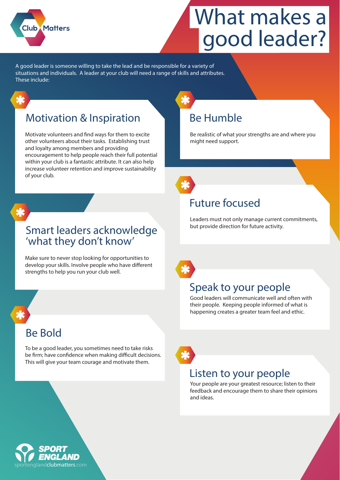

# **What makes a good leader?**

A good leader is someone willing to take the lead and be responsible for a variety of situations and individuals. A leader at your club will need a range of skills and attributes. These include:

### Motivation & Inspiration

Motivate volunteers and find ways for them to excite other volunteers about their tasks. Establishing trust and loyalty among members and providing encouragement to help people reach their full potential within your club is a fantastic attribute. It can also help increase volunteer retention and improve sustainability of your club.



#### Smart leaders acknowledge 'what they don't know'

Make sure to never stop looking for opportunities to develop your skills. Involve people who have different strengths to help you run your club well.

#### Be Bold

To be a good leader, you sometimes need to take risks be firm; have confidence when making difficult decisions. This will give your team courage and motivate them.



Be realistic of what your strengths are and where you might need support.

### Future focused

Leaders must not only manage current commitments, but provide direction for future activity.

### Speak to your people

Good leaders will communicate well and often with their people. Keeping people informed of what is happening creates a greater team feel and ethic.



#### Listen to your people

Your people are your greatest resource; listen to their feedback and encourage them to share their opinions and ideas.